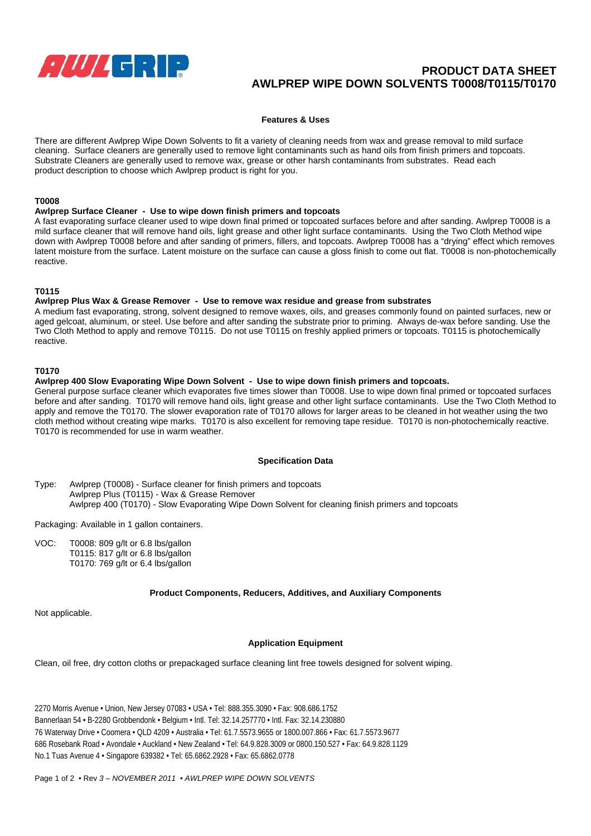

# **PRODUCT DATA SHEET AWLPREP WIPE DOWN SOLVENTS T0008/T0115/T0170**

## **Features & Uses**

There are different Awlprep Wipe Down Solvents to fit a variety of cleaning needs from wax and grease removal to mild surface cleaning. Surface cleaners are generally used to remove light contaminants such as hand oils from finish primers and topcoats. Substrate Cleaners are generally used to remove wax, grease or other harsh contaminants from substrates. Read each product description to choose which Awlprep product is right for you.

#### **T0008**

#### **Awlprep Surface Cleaner - Use to wipe down finish primers and topcoats**

A fast evaporating surface cleaner used to wipe down final primed or topcoated surfaces before and after sanding. Awlprep T0008 is a mild surface cleaner that will remove hand oils, light grease and other light surface contaminants. Using the Two Cloth Method wipe down with Awlprep T0008 before and after sanding of primers, fillers, and topcoats. Awlprep T0008 has a "drying" effect which removes latent moisture from the surface. Latent moisture on the surface can cause a gloss finish to come out flat. T0008 is non-photochemically reactive.

#### **T0115**

#### **Awlprep Plus Wax & Grease Remover - Use to remove wax residue and grease from substrates**

A medium fast evaporating, strong, solvent designed to remove waxes, oils, and greases commonly found on painted surfaces, new or aged gelcoat, aluminum, or steel. Use before and after sanding the substrate prior to priming. Always de-wax before sanding. Use the Two Cloth Method to apply and remove T0115. Do not use T0115 on freshly applied primers or topcoats. T0115 is photochemically reactive.

#### **T0170**

#### **Awlprep 400 Slow Evaporating Wipe Down Solvent - Use to wipe down finish primers and topcoats.**

General purpose surface cleaner which evaporates five times slower than T0008. Use to wipe down final primed or topcoated surfaces before and after sanding. T0170 will remove hand oils, light grease and other light surface contaminants. Use the Two Cloth Method to apply and remove the T0170. The slower evaporation rate of T0170 allows for larger areas to be cleaned in hot weather using the two cloth method without creating wipe marks. T0170 is also excellent for removing tape residue. T0170 is non-photochemically reactive. T0170 is recommended for use in warm weather.

#### **Specification Data**

Type: Awlprep (T0008) - Surface cleaner for finish primers and topcoats Awlprep Plus (T0115) - Wax & Grease Remover Awlprep 400 (T0170) - Slow Evaporating Wipe Down Solvent for cleaning finish primers and topcoats

Packaging: Available in 1 gallon containers.

VOC: T0008: 809 g/lt or 6.8 lbs/gallon T0115: 817 g/lt or 6.8 lbs/gallon T0170: 769 g/lt or 6.4 lbs/gallon

## **Product Components, Reducers, Additives, and Auxiliary Components**

Not applicable.

## **Application Equipment**

Clean, oil free, dry cotton cloths or prepackaged surface cleaning lint free towels designed for solvent wiping.

2270 Morris Avenue • Union, New Jersey 07083 • USA • Tel: 888.355.3090 • Fax: 908.686.1752 Bannerlaan 54 • B-2280 Grobbendonk • Belgium • Intl. Tel: 32.14.257770 • Intl. Fax: 32.14.230880 76 Waterway Drive • Coomera • QLD 4209 • Australia • Tel: 61.7.5573.9655 or 1800.007.866 • Fax: 61.7.5573.9677 686 Rosebank Road • Avondale • Auckland • New Zealand • Tel: 64.9.828.3009 or 0800.150.527 • Fax: 64.9.828.1129 No.1 Tuas Avenue 4 • Singapore 639382 • Tel: 65.6862.2928 • Fax: 65.6862.0778

Page 1 of 2 • Rev *3 – NOVEMBER 2011* • *AWLPREP WIPE DOWN SOLVENTS*